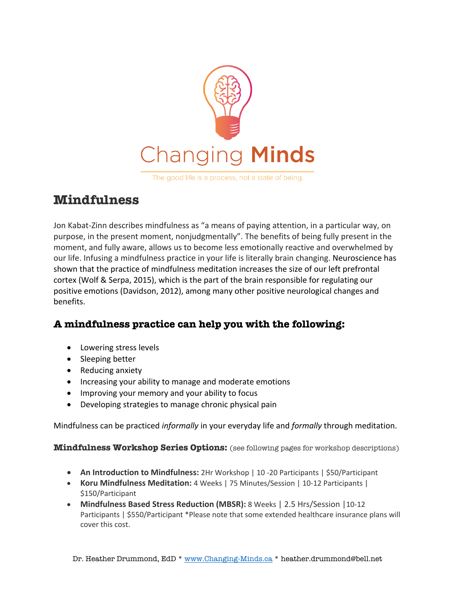

The good life is a process, not a state of being.

#### **Mindfulness**

Jon Kabat-Zinn describes mindfulness as "a means of paying attention, in a particular way, on purpose, in the present moment, nonjudgmentally". The benefits of being fully present in the moment, and fully aware, allows us to become less emotionally reactive and overwhelmed by our life. Infusing a mindfulness practice in your life is literally brain changing. Neuroscience has shown that the practice of mindfulness meditation increases the size of our left prefrontal cortex (Wolf & Serpa, 2015), which is the part of the brain responsible for regulating our positive emotions (Davidson, 2012), among many other positive neurological changes and benefits.

#### **A mindfulness practice can help you with the following:**

- Lowering stress levels
- Sleeping better
- Reducing anxiety
- Increasing your ability to manage and moderate emotions
- Improving your memory and your ability to focus
- Developing strategies to manage chronic physical pain

Mindfulness can be practiced *informally* in your everyday life and *formally* through meditation.

**Mindfulness Workshop Series Options:** (see following pages for workshop descriptions)

- **An Introduction to Mindfulness:** 2Hr Workshop | 10 -20 Participants | \$50/Participant
- **Koru Mindfulness Meditation:** 4 Weeks | 75 Minutes/Session | 10-12 Participants | \$150/Participant
- **Mindfulness Based Stress Reduction (MBSR):** 8 Weeks | 2.5 Hrs/Session |10-12 Participants | \$550/Participant \*Please note that some extended healthcare insurance plans will cover this cost.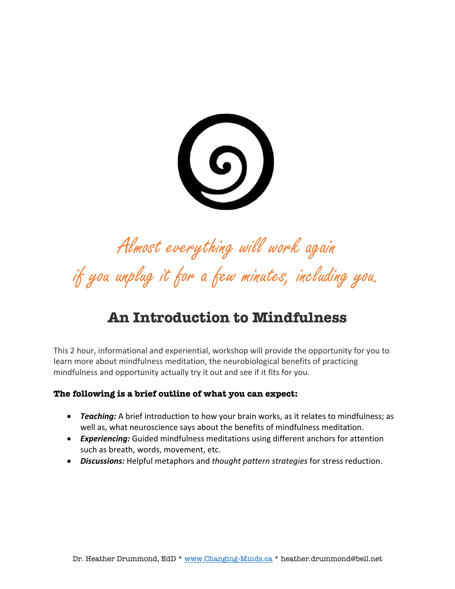$\bigcirc$ 

## Almost everything will work again if you unplug it for a few minutes, including you.

#### **An Introduction to Mindfulness**

This 2 hour, informational and experiential, workshop will provide the opportunity for you to learn more about mindfulness meditation, the neurobiological benefits of practicing mindfulness and opportunity actually try it out and see if it fits for you.

#### **The following is a brief outline of what you can expect:**

- *Teaching:* A brief introduction to how your brain works, as it relates to mindfulness; as well as, what neuroscience says about the benefits of mindfulness meditation.
- *Experiencing:* Guided mindfulness meditations using different anchors for attention such as breath, words, movement, etc.
- *Discussions:* Helpful metaphors and *thought pattern strategies* for stress reduction.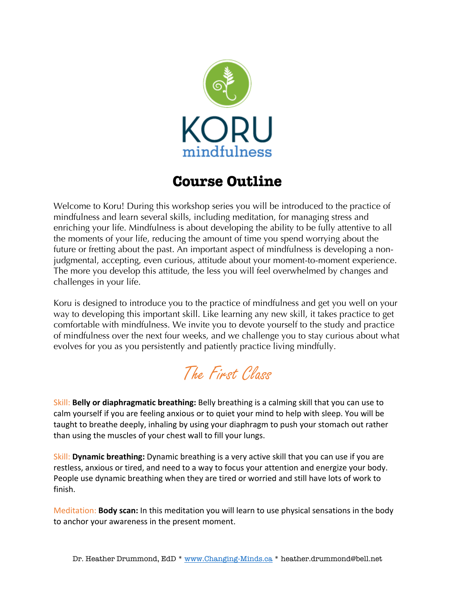

#### **Course Outline**

Welcome to Koru! During this workshop series you will be introduced to the practice of mindfulness and learn several skills, including meditation, for managing stress and enriching your life. Mindfulness is about developing the ability to be fully attentive to all the moments of your life, reducing the amount of time you spend worrying about the future or fretting about the past. An important aspect of mindfulness is developing a nonjudgmental, accepting, even curious, attitude about your moment-to-moment experience. The more you develop this attitude, the less you will feel overwhelmed by changes and challenges in your life.

Koru is designed to introduce you to the practice of mindfulness and get you well on your way to developing this important skill. Like learning any new skill, it takes practice to get comfortable with mindfulness. We invite you to devote yourself to the study and practice of mindfulness over the next four weeks, and we challenge you to stay curious about what evolves for you as you persistently and patiently practice living mindfully.

#### The First Class

Skill: **Belly or diaphragmatic breathing:** Belly breathing is a calming skill that you can use to calm yourself if you are feeling anxious or to quiet your mind to help with sleep. You will be taught to breathe deeply, inhaling by using your diaphragm to push your stomach out rather than using the muscles of your chest wall to fill your lungs.

Skill: **Dynamic breathing:** Dynamic breathing is a very active skill that you can use if you are restless, anxious or tired, and need to a way to focus your attention and energize your body. People use dynamic breathing when they are tired or worried and still have lots of work to finish.

Meditation: **Body scan:** In this meditation you will learn to use physical sensations in the body to anchor your awareness in the present moment.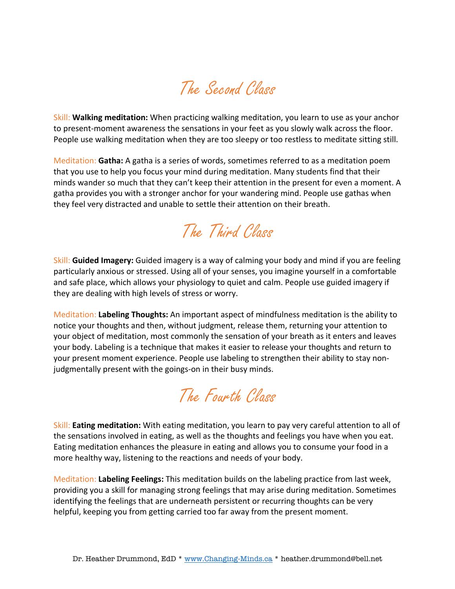## The Second Class

Skill: **Walking meditation:** When practicing walking meditation, you learn to use as your anchor to present-moment awareness the sensations in your feet as you slowly walk across the floor. People use walking meditation when they are too sleepy or too restless to meditate sitting still.

Meditation: **Gatha:** A gatha is a series of words, sometimes referred to as a meditation poem that you use to help you focus your mind during meditation. Many students find that their minds wander so much that they can't keep their attention in the present for even a moment. A gatha provides you with a stronger anchor for your wandering mind. People use gathas when they feel very distracted and unable to settle their attention on their breath.

## The Third Class

Skill: **Guided Imagery:** Guided imagery is a way of calming your body and mind if you are feeling particularly anxious or stressed. Using all of your senses, you imagine yourself in a comfortable and safe place, which allows your physiology to quiet and calm. People use guided imagery if they are dealing with high levels of stress or worry.

Meditation: **Labeling Thoughts:** An important aspect of mindfulness meditation is the ability to notice your thoughts and then, without judgment, release them, returning your attention to your object of meditation, most commonly the sensation of your breath as it enters and leaves your body. Labeling is a technique that makes it easier to release your thoughts and return to your present moment experience. People use labeling to strengthen their ability to stay nonjudgmentally present with the goings-on in their busy minds.

## The Fourth Class

Skill: **Eating meditation:** With eating meditation, you learn to pay very careful attention to all of the sensations involved in eating, as well as the thoughts and feelings you have when you eat. Eating meditation enhances the pleasure in eating and allows you to consume your food in a more healthy way, listening to the reactions and needs of your body.

Meditation: **Labeling Feelings:** This meditation builds on the labeling practice from last week, providing you a skill for managing strong feelings that may arise during meditation. Sometimes identifying the feelings that are underneath persistent or recurring thoughts can be very helpful, keeping you from getting carried too far away from the present moment.